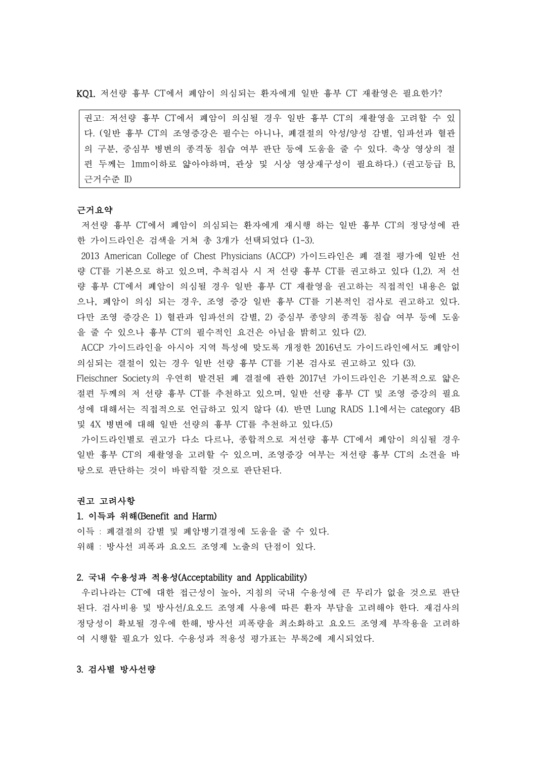KQ1. 저선량 흉부 CT에서 폐암이 의심되는 환자에게 일반 흉부 CT 재촬영은 필요한가?

권고: 저선량 흉부 CT에서 폐암이 의심될 경우 일반 흉부 CT의 재촬영을 고려할 수 있 다. (일반 흉부 CT의 조영증강은 필수는 아니나, 폐결절의 악성/양성 감별, 임파선과 혈관 의 구분, 중심부 병변의 종격동 침습 여부 판단 등에 도움을 줄 수 있다. 축상 영상의 절 편 두께는 1mm이하로 얇아야하며, 관상 및 시상 영상재구성이 필요하다.) (권고등급 B, 근거수준 II)

### 근거요약

저선량 흉부 CT에서 폐암이 의심되는 환자에게 재시행 하는 일반 흉부 CT의 정당성에 관 한 가이드라인은 검색을 거쳐 총 3개가 선택되었다 (1-3).

2013 American College of Chest Physicians (ACCP) 가이드라인은 폐 결절 평가에 일반 선 량 CT를 기본으로 하고 있으며, 추척검사 시 저 선량 흉부 CT를 권고하고 있다 (1,2). 저 선 량 흉부 CT에서 폐암이 의심될 경우 일반 흉부 CT 재촬영을 권고하는 직접적인 내용은 없 으나, 폐암이 의심 되는 경우, 조영 증강 일반 흉부 CT를 기본적인 검사로 권고하고 있다.<br>다만 조영 증강은 1) 혈관과 임파선의 감별, 2) 중심부 종양의 종격동 침습 여부 등에 도움 을 줄 수 있으나 흉부 CT의 필수적인 요건은 아님을 밝히고 있다 (2).

ACCP 가이드라인을 아시아 지역 특성에 맞도록 개정한 2016년도 가이드라인에서도 폐암이 의심되는 결절이 있는 경우 일반 선량 흉부 CT를 기본 검사로 권고하고 있다 (3).

Fleischner Society의 우연히 발견된 폐 결절에 관한 2017년 가이드라인은 기본적으로 얇은 절편 두께의 저 선량 흉부 CT를 추천하고 있으며, 일반 선량 흉부 CT 및 조영 증강의 필요 성에 대해서는 직접적으로 언급하고 있지 않다 (4). 반면 Lung RADS 1.1에서는 category 4B 및 4X 병변에 대해 일반 선량의 흉부 CT를 추천하고 있다.(5)

가이드라인별로 권고가 다소 다르나, 종합적으로 저선량 흉부 CT에서 폐암이 의심될 경우 일반 흉부 CT의 재촬영을 고려할 수 있으며, 조영증강 여부는 저선량 흉부 CT의 소견을 바 탕으로 판단하는 것이 바람직할 것으로 판단된다.<br><br>**권고 고려사항** 

#### 1. 이득과 위해(Benefit and Harm)

이득 : 폐결절의 감별 및 폐암병기결정에 도움을 줄 수 있다.<br>위해 : 방사선 피폭과 요오드 조영제 노출의 단점이 있다.

### 2. 국내 수용성과 적용성(Acceptability and Applicability)

우리나라는 CT에 대한 접근성이 높아, 지침의 국내 수용성에 큰 무리가 없을 것으로 판단 된다. 검사비용 및 방사선/요오드 조영제 사용에 따른 환자 부담을 고려해야 한다. 재검사의 정당성이 확보될 경우에 한해, 방사선 피폭량을 최소화하고 요오드 조영제 부작용을 고려하 여 시행할 필요가 있다. 수용성과 적용성 평가표는 부록2에 제시되었다.

## 3. 검사별 방사선량